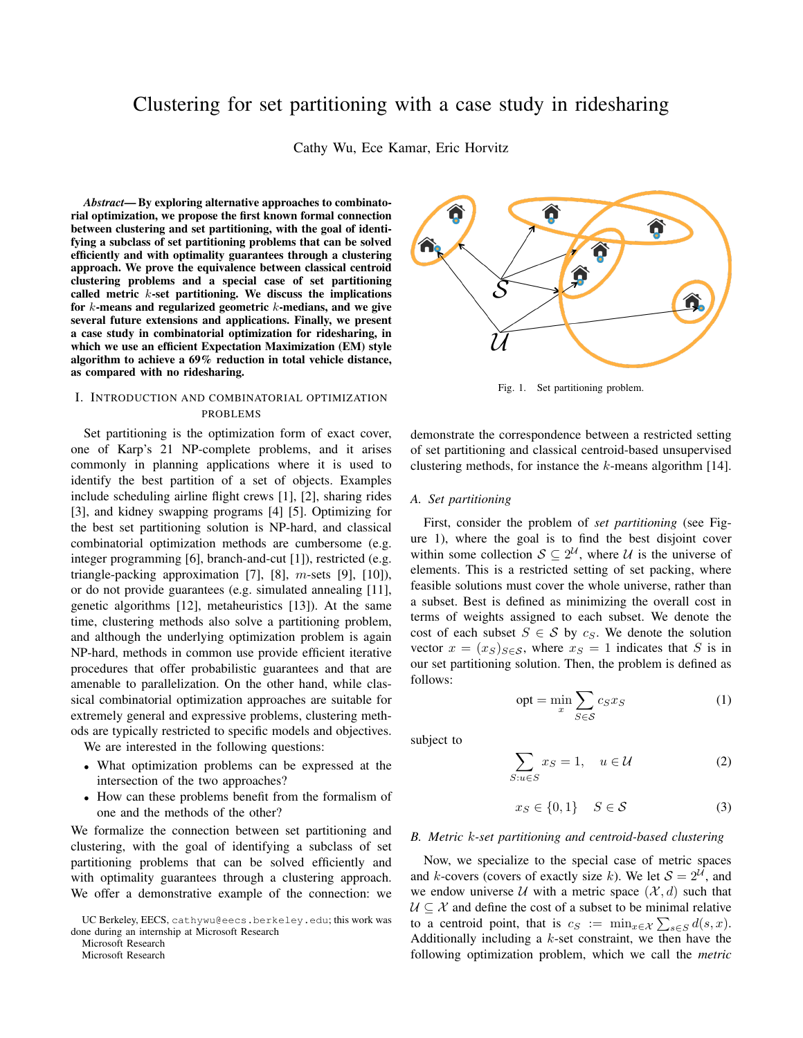# Clustering for set partitioning with a case study in ridesharing

Cathy Wu, Ece Kamar, Eric Horvitz

*Abstract*— By exploring alternative approaches to combinatorial optimization, we propose the first known formal connection between clustering and set partitioning, with the goal of identifying a subclass of set partitioning problems that can be solved efficiently and with optimality guarantees through a clustering approach. We prove the equivalence between classical centroid clustering problems and a special case of set partitioning called metric k-set partitioning. We discuss the implications for  $k$ -means and regularized geometric  $k$ -medians, and we give several future extensions and applications. Finally, we present a case study in combinatorial optimization for ridesharing, in which we use an efficient Expectation Maximization (EM) style algorithm to achieve a 69% reduction in total vehicle distance, as compared with no ridesharing.

## I. INTRODUCTION AND COMBINATORIAL OPTIMIZATION PROBLEMS

Set partitioning is the optimization form of exact cover, one of Karp's 21 NP-complete problems, and it arises commonly in planning applications where it is used to identify the best partition of a set of objects. Examples include scheduling airline flight crews [1], [2], sharing rides [3], and kidney swapping programs [4] [5]. Optimizing for the best set partitioning solution is NP-hard, and classical combinatorial optimization methods are cumbersome (e.g. integer programming [6], branch-and-cut [1]), restricted (e.g. triangle-packing approximation [7], [8], m-sets [9], [10]), or do not provide guarantees (e.g. simulated annealing [11], genetic algorithms [12], metaheuristics [13]). At the same time, clustering methods also solve a partitioning problem, and although the underlying optimization problem is again NP-hard, methods in common use provide efficient iterative procedures that offer probabilistic guarantees and that are amenable to parallelization. On the other hand, while classical combinatorial optimization approaches are suitable for extremely general and expressive problems, clustering methods are typically restricted to specific models and objectives.

We are interested in the following questions:

- What optimization problems can be expressed at the intersection of the two approaches?
- How can these problems benefit from the formalism of one and the methods of the other?

We formalize the connection between set partitioning and clustering, with the goal of identifying a subclass of set partitioning problems that can be solved efficiently and with optimality guarantees through a clustering approach. We offer a demonstrative example of the connection: we

Microsoft Research

Microsoft Research



Fig. 1. Set partitioning problem.

demonstrate the correspondence between a restricted setting of set partitioning and classical centroid-based unsupervised clustering methods, for instance the  $k$ -means algorithm [14].

## *A. Set partitioning*

First, consider the problem of *set partitioning* (see Figure 1), where the goal is to find the best disjoint cover within some collection  $S \subseteq 2^{\mathcal{U}}$ , where  $\mathcal{U}$  is the universe of elements. This is a restricted setting of set packing, where feasible solutions must cover the whole universe, rather than a subset. Best is defined as minimizing the overall cost in terms of weights assigned to each subset. We denote the cost of each subset  $S \in \mathcal{S}$  by  $c_S$ . We denote the solution vector  $x = (x_S)_{S \in \mathcal{S}}$ , where  $x_S = 1$  indicates that S is in our set partitioning solution. Then, the problem is defined as follows:

$$
opt = \min_{x} \sum_{S \in \mathcal{S}} c_S x_S \tag{1}
$$

subject to

$$
\sum_{S: u \in S} x_S = 1, \quad u \in \mathcal{U}
$$
 (2)

$$
x_S \in \{0, 1\} \quad S \in \mathcal{S} \tag{3}
$$

#### *B. Metric* k*-set partitioning and centroid-based clustering*

Now, we specialize to the special case of metric spaces and k-covers (covers of exactly size k). We let  $S = 2^{\mathcal{U}}$ , and we endow universe U with a metric space  $(\mathcal{X}, d)$  such that  $U \subseteq \mathcal{X}$  and define the cost of a subset to be minimal relative to a centroid point, that is  $c_S := \min_{x \in \mathcal{X}} \sum_{s \in S} d(s, x)$ . Additionally including a  $k$ -set constraint, we then have the following optimization problem, which we call the *metric*

UC Berkeley, EECS, cathywu@eecs.berkeley.edu; this work was done during an internship at Microsoft Research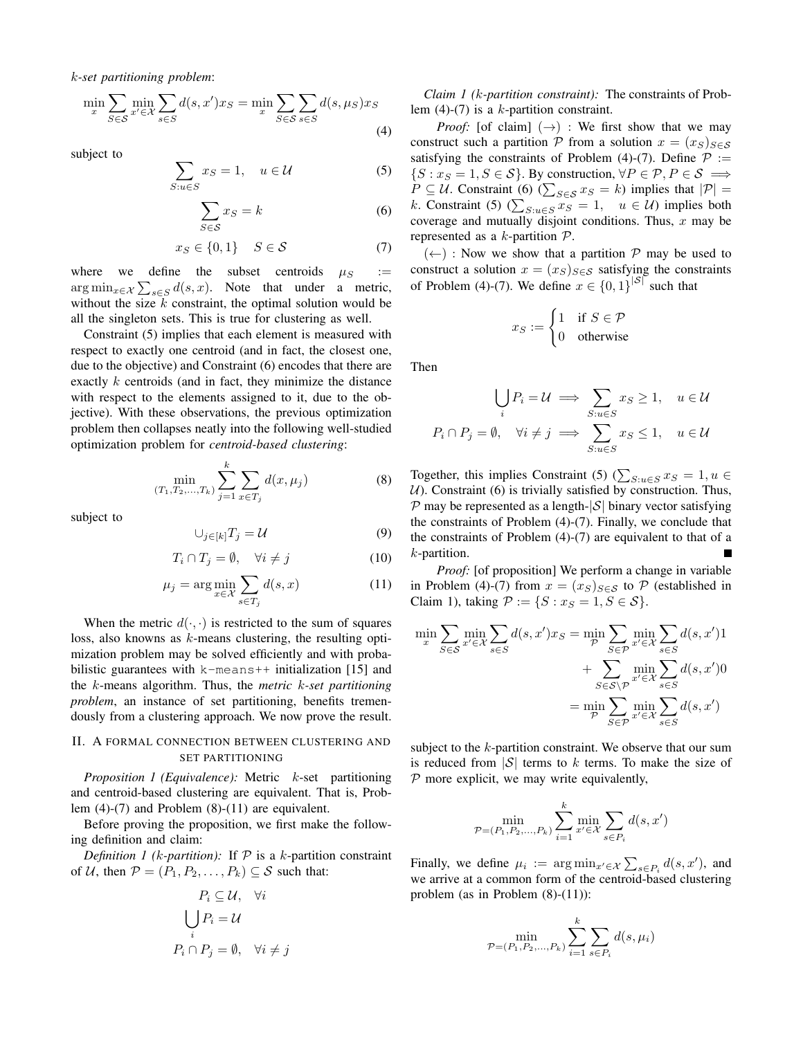k*-set partitioning problem*:

$$
\min_{x} \sum_{S \in \mathcal{S}} \min_{x' \in \mathcal{X}} \sum_{s \in S} d(s, x') x_S = \min_{x} \sum_{S \in \mathcal{S}} \sum_{s \in S} d(s, \mu_S) x_S
$$
\n(4)

subject to

$$
\sum_{S: u \in S} x_S = 1, \quad u \in \mathcal{U}
$$
 (5)

$$
\sum_{S \in \mathcal{S}} x_S = k \tag{6}
$$

$$
x_S \in \{0, 1\} \quad S \in \mathcal{S} \tag{7}
$$

where we define the subset centroids  $\mu_S$  :=  $\arg \min_{x \in \mathcal{X}} \sum_{s \in S} d(s, x)$ . Note that under a metric, without the size  $k$  constraint, the optimal solution would be all the singleton sets. This is true for clustering as well.

Constraint (5) implies that each element is measured with respect to exactly one centroid (and in fact, the closest one, due to the objective) and Constraint (6) encodes that there are exactly  $k$  centroids (and in fact, they minimize the distance with respect to the elements assigned to it, due to the objective). With these observations, the previous optimization problem then collapses neatly into the following well-studied optimization problem for *centroid-based clustering*:

$$
\min_{(T_1, T_2, \dots, T_k)} \sum_{j=1}^k \sum_{x \in T_j} d(x, \mu_j) \tag{8}
$$

subject to

$$
\cup_{j \in [k]} T_j = \mathcal{U} \tag{9}
$$

$$
T_i \cap T_j = \emptyset, \quad \forall i \neq j \tag{10}
$$

$$
\mu_j = \arg\min_{x \in \mathcal{X}} \sum_{s \in T_j} d(s, x) \tag{11}
$$

When the metric  $d(\cdot, \cdot)$  is restricted to the sum of squares loss, also knowns as k-means clustering, the resulting optimization problem may be solved efficiently and with probabilistic guarantees with k-means++ initialization [15] and the k-means algorithm. Thus, the *metric* k*-set partitioning problem*, an instance of set partitioning, benefits tremendously from a clustering approach. We now prove the result.

## II. A FORMAL CONNECTION BETWEEN CLUSTERING AND SET PARTITIONING

*Proposition 1 (Equivalence):* Metric *k*-set partitioning and centroid-based clustering are equivalent. That is, Problem (4)-(7) and Problem (8)-(11) are equivalent.

Before proving the proposition, we first make the following definition and claim:

*Definition 1 (k-partition):* If  $P$  is a *k*-partition constraint of U, then  $P = (P_1, P_2, \ldots, P_k) \subseteq S$  such that:

$$
P_i \subseteq \mathcal{U}, \quad \forall i
$$

$$
\bigcup_i P_i = \mathcal{U}
$$

$$
P_i \cap P_j = \emptyset, \quad \forall i \neq j
$$

*Claim 1 (*k*-partition constraint):* The constraints of Problem  $(4)-(7)$  is a k-partition constraint.

*Proof:* [of claim]  $(\rightarrow)$  : We first show that we may construct such a partition P from a solution  $x = (x_S)_{S \in \mathcal{S}}$ satisfying the constraints of Problem (4)-(7). Define  $P :=$  $\{S: x_S = 1, S \in \mathcal{S}\}\$ . By construction,  $\forall P \in \mathcal{P}, P \in \mathcal{S} \implies$  $P \subseteq U$ . Constraint (6) ( $\sum_{S \in \mathcal{S}} x_S = k$ ) implies that  $|\mathcal{P}| =$ k. Constraint (5) ( $\sum_{S: u \in S} x_S = 1$ ,  $u \in U$ ) implies both coverage and mutually disjoint conditions. Thus,  $x$  may be represented as a  $k$ -partition  $P$ .

 $(\leftarrow)$ : Now we show that a partition P may be used to construct a solution  $x = (x_S)_{S \in \mathcal{S}}$  satisfying the constraints of Problem (4)-(7). We define  $x \in \{0,1\}^{|S|}$  such that

$$
x_S := \begin{cases} 1 & \text{if } S \in \mathcal{P} \\ 0 & \text{otherwise} \end{cases}
$$

Then

$$
\bigcup_{i} P_{i} = \mathcal{U} \implies \sum_{S: u \in S} x_{S} \ge 1, \quad u \in \mathcal{U}
$$

$$
P_{i} \cap P_{j} = \emptyset, \quad \forall i \ne j \implies \sum_{S: u \in S} x_{S} \le 1, \quad u \in \mathcal{U}
$$

Together, this implies Constraint (5) ( $\sum_{S:u\in S} x_S = 1, u \in$  $U$ ). Constraint (6) is trivially satisfied by construction. Thus,  $\mathcal P$  may be represented as a length- $|\mathcal S|$  binary vector satisfying the constraints of Problem (4)-(7). Finally, we conclude that the constraints of Problem (4)-(7) are equivalent to that of a k-partition.

*Proof:* [of proposition] We perform a change in variable in Problem (4)-(7) from  $x = (x_S)_{S \in S}$  to P (established in Claim 1), taking  $P := \{S : x_S = 1, S \in S\}.$ 

$$
\min_{x} \sum_{S \in \mathcal{S}} \min_{x' \in \mathcal{X}} \sum_{s \in S} d(s, x') x_S = \min_{\mathcal{P}} \sum_{S \in \mathcal{P}} \min_{x' \in \mathcal{X}} \sum_{s \in S} d(s, x') 1
$$

$$
+ \sum_{S \in \mathcal{S} \setminus \mathcal{P}} \min_{x' \in \mathcal{X}} \sum_{s \in S} d(s, x') 0
$$

$$
= \min_{\mathcal{P}} \sum_{S \in \mathcal{P}} \min_{x' \in \mathcal{X}} \sum_{s \in S} d(s, x')
$$

subject to the *k*-partition constraint. We observe that our sum is reduced from  $|S|$  terms to k terms. To make the size of  $P$  more explicit, we may write equivalently,

$$
\min_{\mathcal{P} = (P_1, P_2, ..., P_k)} \sum_{i=1}^k \min_{x' \in \mathcal{X}} \sum_{s \in P_i} d(s, x')
$$

Finally, we define  $\mu_i := \arg \min_{x' \in \mathcal{X}} \sum_{s \in P_i} d(s, x')$ , and we arrive at a common form of the centroid-based clustering problem (as in Problem (8)-(11)):

$$
\min_{\mathcal{P} = (P_1, P_2, ..., P_k)} \sum_{i=1}^k \sum_{s \in P_i} d(s, \mu_i)
$$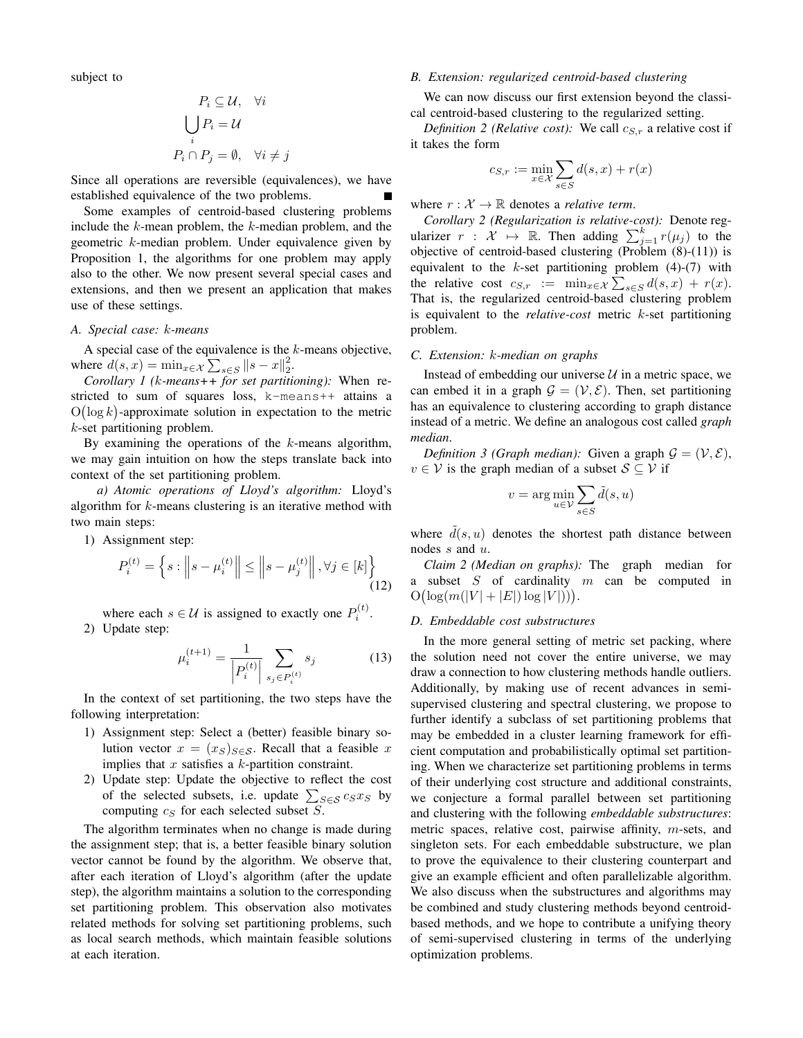subject to

$$
P_i \subseteq \mathcal{U}, \quad \forall i
$$

$$
\bigcup_i P_i = \mathcal{U}
$$

$$
P_i \cap P_j = \emptyset, \quad \forall i \neq j
$$

Since all operations are reversible (equivalences), we have established equivalence of the two problems.

Some examples of centroid-based clustering problems include the k-mean problem, the k-median problem, and the geometric k-median problem. Under equivalence given by Proposition 1, the algorithms for one problem may apply also to the other. We now present several special cases and extensions, and then we present an application that makes use of these settings.

#### *A. Special case:* k*-means*

A special case of the equivalence is the  $k$ -means objective, where  $d(s, x) = \min_{x \in \mathcal{X}} \sum_{s \in S} ||s - x||_2^2$ .

*Corollary 1 (*k*-means++ for set partitioning):* When restricted to sum of squares loss, k-means++ attains a  $O(\log k)$ -approximate solution in expectation to the metric k-set partitioning problem.

By examining the operations of the  $k$ -means algorithm, we may gain intuition on how the steps translate back into context of the set partitioning problem.

*a) Atomic operations of Lloyd's algorithm:* Lloyd's algorithm for k-means clustering is an iterative method with two main steps:

1) Assignment step:

$$
P_i^{(t)} = \left\{ s : \left\| s - \mu_i^{(t)} \right\| \le \left\| s - \mu_j^{(t)} \right\|, \forall j \in [k] \right\}
$$
\n(12)

where each  $s \in \mathcal{U}$  is assigned to exactly one  $P_i^{(t)}$ . 2) Update step:

$$
\mu_i^{(t+1)} = \frac{1}{\left| P_i^{(t)} \right|} \sum_{s_j \in P_i^{(t)}} s_j \tag{13}
$$

In the context of set partitioning, the two steps have the following interpretation:

- 1) Assignment step: Select a (better) feasible binary solution vector  $x = (x_S)_{S \in \mathcal{S}}$ . Recall that a feasible x implies that  $x$  satisfies a  $k$ -partition constraint.
- 2) Update step: Update the objective to reflect the cost of the selected subsets, i.e. update  $\sum_{S \in \mathcal{S}} c_S x_S$  by computing  $c_S$  for each selected subset  $S$ .

The algorithm terminates when no change is made during the assignment step; that is, a better feasible binary solution vector cannot be found by the algorithm. We observe that, after each iteration of Lloyd's algorithm (after the update step), the algorithm maintains a solution to the corresponding set partitioning problem. This observation also motivates related methods for solving set partitioning problems, such as local search methods, which maintain feasible solutions at each iteration.

#### *B. Extension: regularized centroid-based clustering*

We can now discuss our first extension beyond the classical centroid-based clustering to the regularized setting.

*Definition 2 (Relative cost):* We call  $c_{S,r}$  a relative cost if it takes the form

$$
c_{S,r} := \min_{x \in \mathcal{X}} \sum_{s \in S} d(s, x) + r(x)
$$

where  $r : \mathcal{X} \to \mathbb{R}$  denotes a *relative term*.

*Corollary 2 (Regularization is relative-cost):* Denote regularizer  $r : \mathcal{X} \mapsto \mathbb{R}$ . Then adding  $\sum_{j=1}^{k} r(\mu_j)$  to the objective of centroid-based clustering (Problem (8)-(11)) is equivalent to the  $k$ -set partitioning problem  $(4)-(7)$  with the relative cost  $c_{S,r} := \min_{x \in \mathcal{X}} \sum_{s \in S} d(s,x) + r(x)$ . That is, the regularized centroid-based clustering problem is equivalent to the *relative-cost* metric k-set partitioning problem.

### *C. Extension:* k*-median on graphs*

Instead of embedding our universe  $U$  in a metric space, we can embed it in a graph  $\mathcal{G} = (\mathcal{V}, \mathcal{E})$ . Then, set partitioning has an equivalence to clustering according to graph distance instead of a metric. We define an analogous cost called *graph median*.

*Definition 3 (Graph median):* Given a graph  $G = (V, E)$ ,  $v \in V$  is the graph median of a subset  $S \subseteq V$  if

$$
v = \arg\min_{u \in \mathcal{V}} \sum_{s \in S} \tilde{d}(s, u)
$$

where  $\tilde{d}(s, u)$  denotes the shortest path distance between nodes s and u.

*Claim 2 (Median on graphs):* The graph median for a subset  $S$  of cardinality  $m$  can be computed in  $O(\log(m(|V|+|E|)\log|V|))).$ 

#### *D. Embeddable cost substructures*

In the more general setting of metric set packing, where the solution need not cover the entire universe, we may draw a connection to how clustering methods handle outliers. Additionally, by making use of recent advances in semisupervised clustering and spectral clustering, we propose to further identify a subclass of set partitioning problems that may be embedded in a cluster learning framework for efficient computation and probabilistically optimal set partitioning. When we characterize set partitioning problems in terms of their underlying cost structure and additional constraints, we conjecture a formal parallel between set partitioning and clustering with the following *embeddable substructures*: metric spaces, relative cost, pairwise affinity, m-sets, and singleton sets. For each embeddable substructure, we plan to prove the equivalence to their clustering counterpart and give an example efficient and often parallelizable algorithm. We also discuss when the substructures and algorithms may be combined and study clustering methods beyond centroidbased methods, and we hope to contribute a unifying theory of semi-supervised clustering in terms of the underlying optimization problems.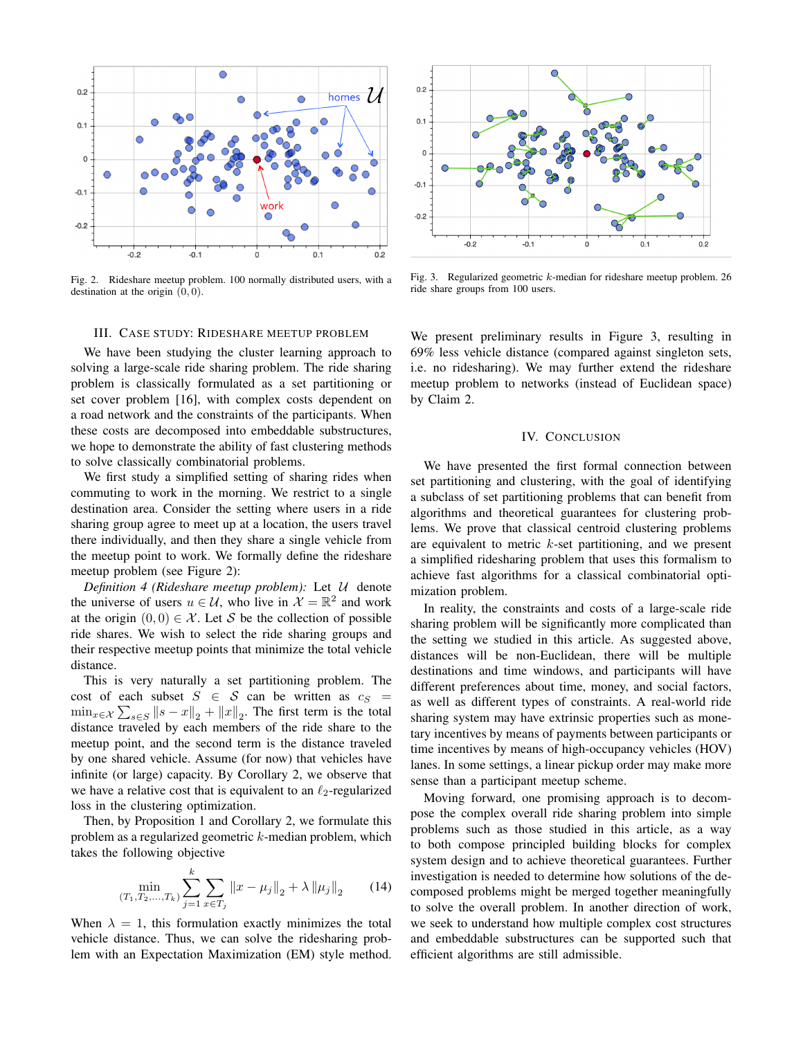

Fig. 2. Rideshare meetup problem. 100 normally distributed users, with a destination at the origin (0, 0).



Fig. 3. Regularized geometric  $k$ -median for rideshare meetup problem. 26 ride share groups from 100 users.

## III. CASE STUDY: RIDESHARE MEETUP PROBLEM

We have been studying the cluster learning approach to solving a large-scale ride sharing problem. The ride sharing problem is classically formulated as a set partitioning or set cover problem [16], with complex costs dependent on a road network and the constraints of the participants. When these costs are decomposed into embeddable substructures, we hope to demonstrate the ability of fast clustering methods to solve classically combinatorial problems.

We first study a simplified setting of sharing rides when commuting to work in the morning. We restrict to a single destination area. Consider the setting where users in a ride sharing group agree to meet up at a location, the users travel there individually, and then they share a single vehicle from the meetup point to work. We formally define the rideshare meetup problem (see Figure 2):

*Definition 4 (Rideshare meetup problem):* Let U denote the universe of users  $u \in \mathcal{U}$ , who live in  $\mathcal{X} = \mathbb{R}^2$  and work at the origin  $(0, 0) \in \mathcal{X}$ . Let S be the collection of possible ride shares. We wish to select the ride sharing groups and their respective meetup points that minimize the total vehicle distance.

This is very naturally a set partitioning problem. The cost of each subset  $S \in S$  can be written as  $c_S =$  $\min_{x \in \mathcal{X}} \sum_{s \in S} ||s - x||_2 + ||x||_2$ . The first term is the total distance traveled by each members of the ride share to the meetup point, and the second term is the distance traveled by one shared vehicle. Assume (for now) that vehicles have infinite (or large) capacity. By Corollary 2, we observe that we have a relative cost that is equivalent to an  $\ell_2$ -regularized loss in the clustering optimization.

Then, by Proposition 1 and Corollary 2, we formulate this problem as a regularized geometric k-median problem, which takes the following objective

$$
\min_{(T_1, T_2, \dots, T_k)} \sum_{j=1}^k \sum_{x \in T_j} ||x - \mu_j||_2 + \lambda ||\mu_j||_2 \qquad (14)
$$

When  $\lambda = 1$ , this formulation exactly minimizes the total vehicle distance. Thus, we can solve the ridesharing problem with an Expectation Maximization (EM) style method.

We present preliminary results in Figure 3, resulting in 69% less vehicle distance (compared against singleton sets, i.e. no ridesharing). We may further extend the rideshare meetup problem to networks (instead of Euclidean space) by Claim 2.

### IV. CONCLUSION

We have presented the first formal connection between set partitioning and clustering, with the goal of identifying a subclass of set partitioning problems that can benefit from algorithms and theoretical guarantees for clustering problems. We prove that classical centroid clustering problems are equivalent to metric  $k$ -set partitioning, and we present a simplified ridesharing problem that uses this formalism to achieve fast algorithms for a classical combinatorial optimization problem.

In reality, the constraints and costs of a large-scale ride sharing problem will be significantly more complicated than the setting we studied in this article. As suggested above, distances will be non-Euclidean, there will be multiple destinations and time windows, and participants will have different preferences about time, money, and social factors, as well as different types of constraints. A real-world ride sharing system may have extrinsic properties such as monetary incentives by means of payments between participants or time incentives by means of high-occupancy vehicles (HOV) lanes. In some settings, a linear pickup order may make more sense than a participant meetup scheme.

Moving forward, one promising approach is to decompose the complex overall ride sharing problem into simple problems such as those studied in this article, as a way to both compose principled building blocks for complex system design and to achieve theoretical guarantees. Further investigation is needed to determine how solutions of the decomposed problems might be merged together meaningfully to solve the overall problem. In another direction of work, we seek to understand how multiple complex cost structures and embeddable substructures can be supported such that efficient algorithms are still admissible.